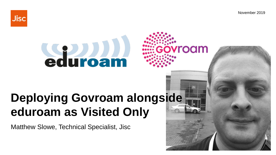November 2019

roam



# **Sauroam**

## **Deploying Govroam alongside** eduroam as Visited Only

Matthew Slowe, Technical Specialist, Jisc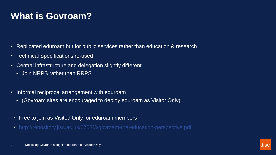## **What is Govroam?**

- Replicated eduroam but for public services rather than education & research
- Technical Specifications re-used
- Central infrastructure and delegation slightly different
	- Join NRPS rather than RRPS
- Informal reciprocal arrangement with eduroam
	- (Govroam sites are encouraged to deploy eduroam as Visitor Only)
- Free to join as Visited Only for eduroam members
- <http://repository.jisc.ac.uk/6708/3/govroam-the-education-perspective.pdf>

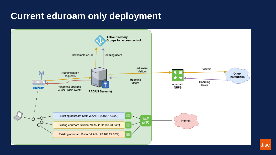#### **Current eduroam only deployment**

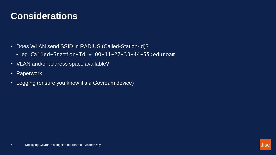#### **Considerations**

- Does WLAN send SSID in RADIUS (Called-Station-Id)?
	- eg. Called-Station-Id =  $00-11-22-33-44-55$ : eduroam
- VLAN and/or address space available?
- Paperwork
- Logging (ensure you know it's a Govroam device)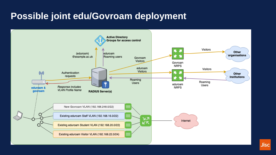#### **Possible joint edu/Govroam deployment**

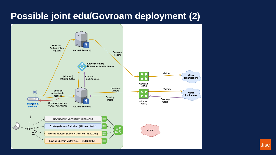#### **Possible joint edu/Govroam deployment (2)**



**Jisc**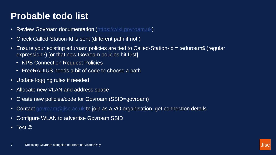### **Probable todo list**

- Review Govroam documentation ([https://wiki.govroam.uk](mailto:https://wiki.govroam.uk))
- Check Called-Station-Id is sent (different path if not!)
- Ensure your existing eduroam policies are tied to Called-Station-Id = :eduroam\$ (regular expression?) [or that new Govroam policies hit first]
	- NPS Connection Request Policies
	- FreeRADIUS needs a bit of code to choose a path
- Update logging rules if needed
- Allocate new VLAN and address space
- Create new policies/code for Govroam (SSID=govroam)
- Contact govroam @ jisc.ac.uk to join as a VO organisation, get connection details
- Configure WLAN to advertise Govroam SSID
- Test  $\odot$

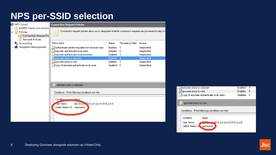#### **NPS per-SSID selection**

|   | A NPS (Local)                                                                                                                | <b>Connection Request Policies</b>                                                                                                  |                                    |                  |                                           |                         |
|---|------------------------------------------------------------------------------------------------------------------------------|-------------------------------------------------------------------------------------------------------------------------------------|------------------------------------|------------------|-------------------------------------------|-------------------------|
| v | <b>RADIUS Clients and Servers</b><br>Policies<br>目<br><b>Connection Request Po</b><br><b>Network Policies</b>                | Connection request policies allow you to designate whether connection requests are processed locally or f<br>E                      |                                    |                  |                                           |                         |
|   | Accounting                                                                                                                   | <b>Policy Name</b>                                                                                                                  | <b>Status</b>                      | Processing Order | Source                                    |                         |
|   | <b>Templates Management</b>                                                                                                  | . I authenticate proxied requests from eduroam nrps<br>. JE eduroam authenticate local users<br>eduroam authenticate local machines | Enabled<br>Enabled 2<br>Disabled 3 |                  | Unspecified<br>Unspecified<br>Unspecified |                         |
|   |                                                                                                                              | eduroam proxy to eduroam<br>LL govroam proxy to nrps                                                                                | Enabled<br>Enabled 5               | $\overline{4}$   | Unspecified<br>Unspecified                |                         |
|   |                                                                                                                              | El Copy of eduroam authenticate local users                                                                                         | Disabled 6                         |                  | Unspecified                               |                         |
|   |                                                                                                                              | $\equiv$ eduroam proxy to eduroam                                                                                                   |                                    |                  |                                           | 耳ed<br>耳so<br>耳Co       |
|   |                                                                                                                              | Conditions - If the following conditions are met:                                                                                   |                                    |                  |                                           |                         |
|   | $\Delta t$ alue<br>Condition.<br>@{1}[-a-z - 30-9 ]+(\[-a-zA-Z0-9 ]+)+\$<br><b>User Name</b><br>Called Station ID :eduroam\$ |                                                                                                                                     |                                    |                  |                                           | ,,,,,,,,,,,,,,,,,<br>耳: |
|   |                                                                                                                              |                                                                                                                                     |                                    |                  |                                           | Cor<br>$\overline{C}$   |
|   |                                                                                                                              |                                                                                                                                     |                                    |                  |                                           | U.                      |

|                                                   | eduroam proxy to eduroam                 |                | <b>Enabled</b> | Δ |  |  |  |  |
|---------------------------------------------------|------------------------------------------|----------------|----------------|---|--|--|--|--|
|                                                   | govroam proxy to nrps                    | <b>Enabled</b> | -5             |   |  |  |  |  |
|                                                   | Copy of eduroam authenticate local users | Disabled       | 6              |   |  |  |  |  |
| govroam proxy to nrps<br>目                        |                                          |                |                |   |  |  |  |  |
| Conditions - If the following conditions are met: |                                          |                |                |   |  |  |  |  |
|                                                   |                                          |                |                |   |  |  |  |  |
|                                                   | Condition                                | Value          |                |   |  |  |  |  |
| <b>User Name</b><br>70-9 1+∩.[-a-zA-Z0-9 1+)+\$   |                                          |                |                |   |  |  |  |  |
|                                                   | Called Station ID<br>⊾:govroam\$         |                |                |   |  |  |  |  |
|                                                   |                                          |                |                |   |  |  |  |  |
|                                                   |                                          |                |                |   |  |  |  |  |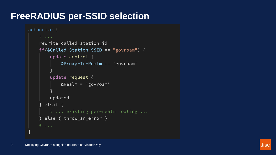#### **FreeRADIUS per-SSID selection**

```
authorize frewrite_called_station_id
if(&Called-Station-SSID == "govroam") {
    update control \{&Proxy-To-Realm := 'govroam'
    update request \{&\text{Realm} = 'govroam'updated
  elsif \{# ... existing per-realm routing ...
\} else { throw_an_error }
```
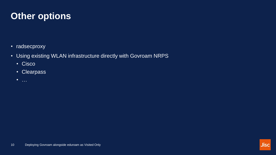#### **Other options**

- radsecproxy
- Using existing WLAN infrastructure directly with Govroam NRPS
	- Cisco
	- Clearpass
	- …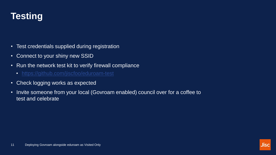

- Test credentials supplied during registration
- Connect to your shiny new SSID
- Run the network test kit to verify firewall compliance
	- <https://github.com/jiscfoo/eduroam-test>
- Check logging works as expected
- Invite someone from your local (Govroam enabled) council over for a coffee to test and celebrate